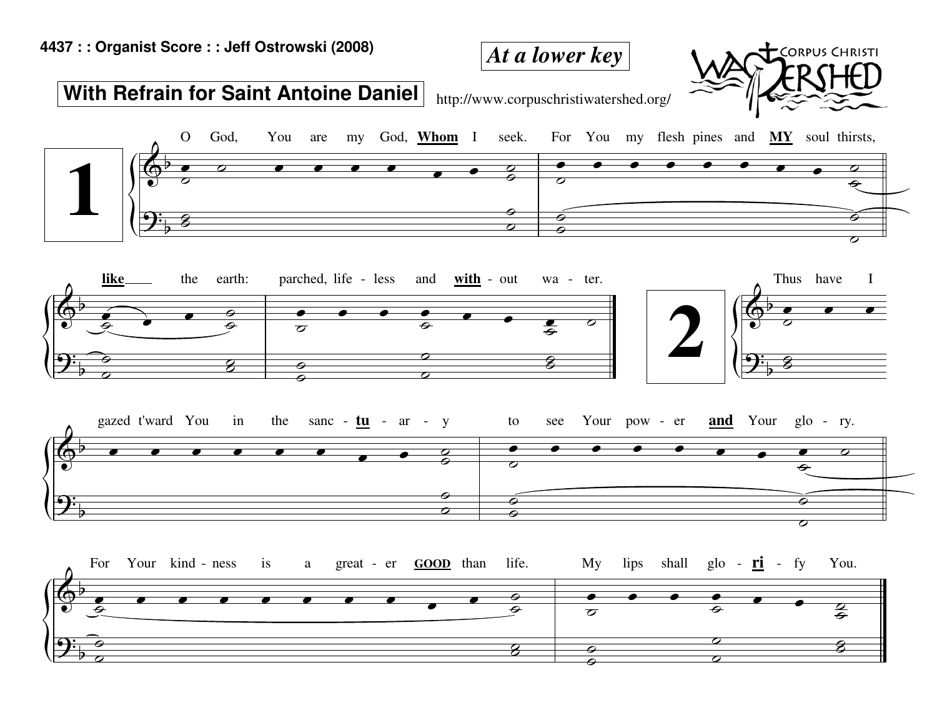## *At a lower key*



 $\begin{array}{ccc} \circ & \circ & \circ \\ \circ & \circ & \circ \end{array}$ 

 $\frac{1}{2}$ 

## **With Refrain for Saint Antoine Daniel**

http://www.corpuschristiwatershed.org/



 $\begin{array}{|c|c|c|c|c|}\hline \circ & \circ & \circ \end{array}$